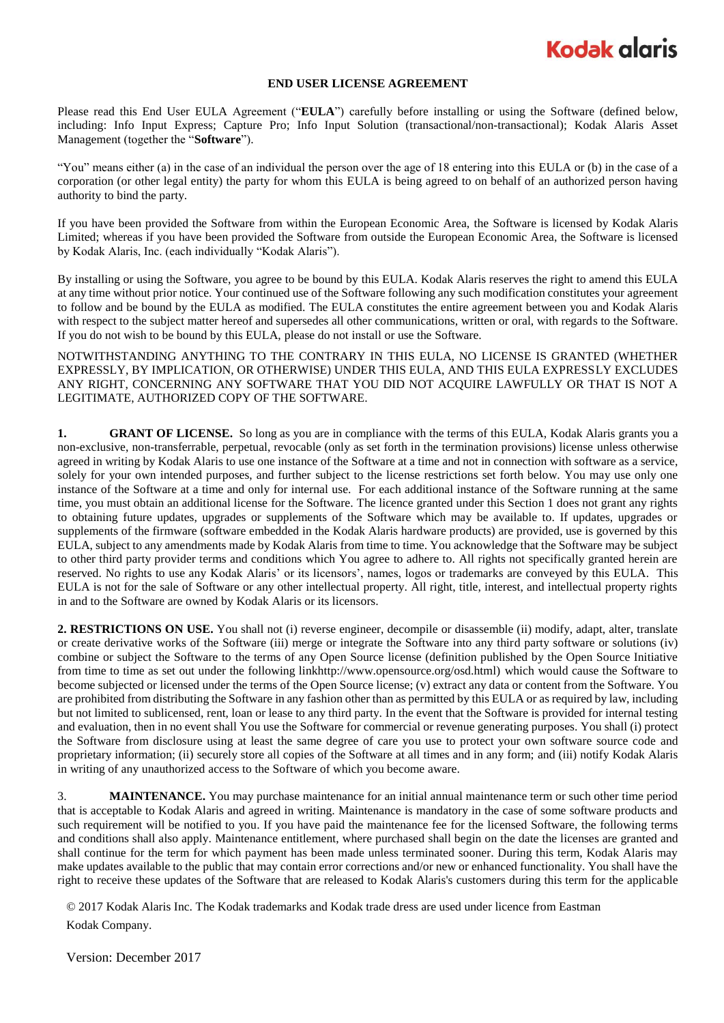### **Kodak glgris**

#### **END USER LICENSE AGREEMENT**

Please read this End User EULA Agreement ("**EULA**") carefully before installing or using the Software (defined below, including: Info Input Express; Capture Pro; Info Input Solution (transactional/non-transactional); Kodak Alaris Asset Management (together the "**Software**").

"You" means either (a) in the case of an individual the person over the age of 18 entering into this EULA or (b) in the case of a corporation (or other legal entity) the party for whom this EULA is being agreed to on behalf of an authorized person having authority to bind the party.

If you have been provided the Software from within the European Economic Area, the Software is licensed by Kodak Alaris Limited; whereas if you have been provided the Software from outside the European Economic Area, the Software is licensed by Kodak Alaris, Inc. (each individually "Kodak Alaris").

By installing or using the Software, you agree to be bound by this EULA. Kodak Alaris reserves the right to amend this EULA at any time without prior notice. Your continued use of the Software following any such modification constitutes your agreement to follow and be bound by the EULA as modified. The EULA constitutes the entire agreement between you and Kodak Alaris with respect to the subject matter hereof and supersedes all other communications, written or oral, with regards to the Software. If you do not wish to be bound by this EULA, please do not install or use the Software.

NOTWITHSTANDING ANYTHING TO THE CONTRARY IN THIS EULA, NO LICENSE IS GRANTED (WHETHER EXPRESSLY, BY IMPLICATION, OR OTHERWISE) UNDER THIS EULA, AND THIS EULA EXPRESSLY EXCLUDES ANY RIGHT, CONCERNING ANY SOFTWARE THAT YOU DID NOT ACQUIRE LAWFULLY OR THAT IS NOT A LEGITIMATE, AUTHORIZED COPY OF THE SOFTWARE.

**1. GRANT OF LICENSE.** So long as you are in compliance with the terms of this EULA, Kodak Alaris grants you a non-exclusive, non-transferrable, perpetual, revocable (only as set forth in the termination provisions) license unless otherwise agreed in writing by Kodak Alaris to use one instance of the Software at a time and not in connection with software as a service, solely for your own intended purposes, and further subject to the license restrictions set forth below. You may use only one instance of the Software at a time and only for internal use. For each additional instance of the Software running at the same time, you must obtain an additional license for the Software. The licence granted under this Section 1 does not grant any rights to obtaining future updates, upgrades or supplements of the Software which may be available to. If updates, upgrades or supplements of the firmware (software embedded in the Kodak Alaris hardware products) are provided, use is governed by this EULA, subject to any amendments made by Kodak Alaris from time to time. You acknowledge that the Software may be subject to other third party provider terms and conditions which You agree to adhere to. All rights not specifically granted herein are reserved. No rights to use any Kodak Alaris' or its licensors', names, logos or trademarks are conveyed by this EULA. This EULA is not for the sale of Software or any other intellectual property. All right, title, interest, and intellectual property rights in and to the Software are owned by Kodak Alaris or its licensors.

**2. RESTRICTIONS ON USE.** You shall not (i) reverse engineer, decompile or disassemble (ii) modify, adapt, alter, translate or create derivative works of the Software (iii) merge or integrate the Software into any third party software or solutions (iv) combine or subject the Software to the terms of any Open Source license (definition published by the Open Source Initiative from time to time as set out under the following linkhttp://www.opensource.org/osd.html) which would cause the Software to become subjected or licensed under the terms of the Open Source license; (v) extract any data or content from the Software. You are prohibited from distributing the Software in any fashion other than as permitted by this EULA or as required by law, including but not limited to sublicensed, rent, loan or lease to any third party. In the event that the Software is provided for internal testing and evaluation, then in no event shall You use the Software for commercial or revenue generating purposes. You shall (i) protect the Software from disclosure using at least the same degree of care you use to protect your own software source code and proprietary information; (ii) securely store all copies of the Software at all times and in any form; and (iii) notify Kodak Alaris in writing of any unauthorized access to the Software of which you become aware.

3. **MAINTENANCE.** You may purchase maintenance for an initial annual maintenance term or such other time period that is acceptable to Kodak Alaris and agreed in writing. Maintenance is mandatory in the case of some software products and such requirement will be notified to you. If you have paid the maintenance fee for the licensed Software, the following terms and conditions shall also apply. Maintenance entitlement, where purchased shall begin on the date the licenses are granted and shall continue for the term for which payment has been made unless terminated sooner. During this term, Kodak Alaris may make updates available to the public that may contain error corrections and/or new or enhanced functionality. You shall have the right to receive these updates of the Software that are released to Kodak Alaris's customers during this term for the applicable

© 2017 Kodak Alaris Inc. The Kodak trademarks and Kodak trade dress are used under licence from Eastman Kodak Company.

Version: December 2017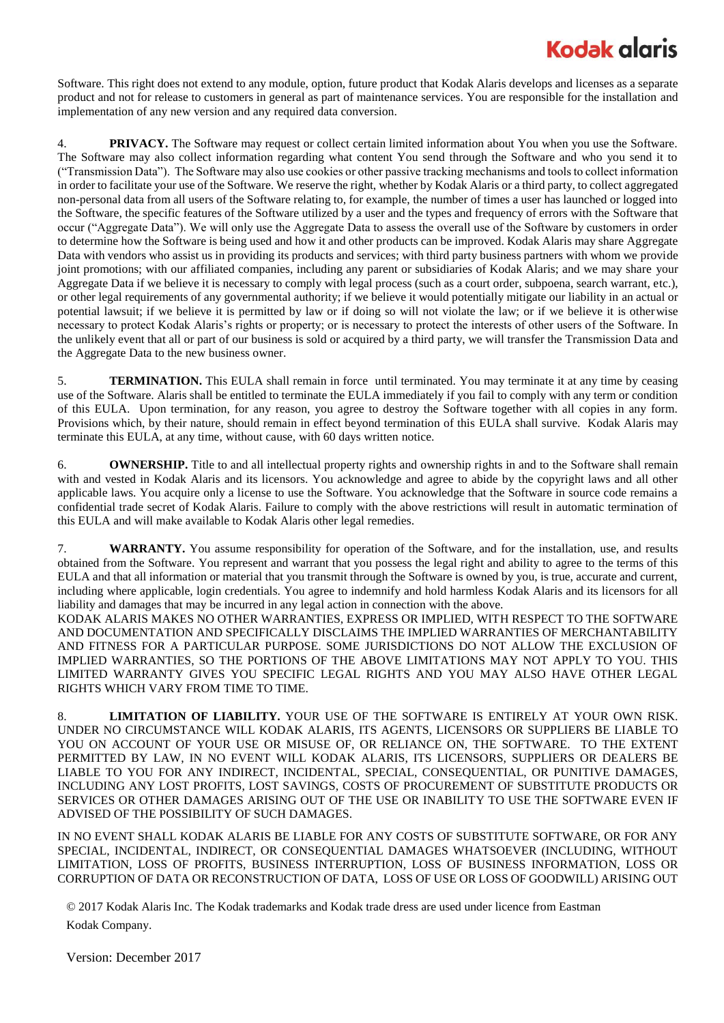# **Kodak glgris**

Software. This right does not extend to any module, option, future product that Kodak Alaris develops and licenses as a separate product and not for release to customers in general as part of maintenance services. You are responsible for the installation and implementation of any new version and any required data conversion.

4. **PRIVACY.** The Software may request or collect certain limited information about You when you use the Software. The Software may also collect information regarding what content You send through the Software and who you send it to ("Transmission Data"). The Software may also use cookies or other passive tracking mechanisms and tools to collect information in order to facilitate your use of the Software. We reserve the right, whether by Kodak Alaris or a third party, to collect aggregated non-personal data from all users of the Software relating to, for example, the number of times a user has launched or logged into the Software, the specific features of the Software utilized by a user and the types and frequency of errors with the Software that occur ("Aggregate Data"). We will only use the Aggregate Data to assess the overall use of the Software by customers in order to determine how the Software is being used and how it and other products can be improved. Kodak Alaris may share Aggregate Data with vendors who assist us in providing its products and services; with third party business partners with whom we provide joint promotions; with our affiliated companies, including any parent or subsidiaries of Kodak Alaris; and we may share your Aggregate Data if we believe it is necessary to comply with legal process (such as a court order, subpoena, search warrant, etc.), or other legal requirements of any governmental authority; if we believe it would potentially mitigate our liability in an actual or potential lawsuit; if we believe it is permitted by law or if doing so will not violate the law; or if we believe it is otherwise necessary to protect Kodak Alaris's rights or property; or is necessary to protect the interests of other users of the Software. In the unlikely event that all or part of our business is sold or acquired by a third party, we will transfer the Transmission Data and the Aggregate Data to the new business owner.

5. **TERMINATION.** This EULA shall remain in force until terminated. You may terminate it at any time by ceasing use of the Software. Alaris shall be entitled to terminate the EULA immediately if you fail to comply with any term or condition of this EULA. Upon termination, for any reason, you agree to destroy the Software together with all copies in any form. Provisions which, by their nature, should remain in effect beyond termination of this EULA shall survive. Kodak Alaris may terminate this EULA, at any time, without cause, with 60 days written notice.

6. **OWNERSHIP.** Title to and all intellectual property rights and ownership rights in and to the Software shall remain with and vested in Kodak Alaris and its licensors. You acknowledge and agree to abide by the copyright laws and all other applicable laws. You acquire only a license to use the Software. You acknowledge that the Software in source code remains a confidential trade secret of Kodak Alaris. Failure to comply with the above restrictions will result in automatic termination of this EULA and will make available to Kodak Alaris other legal remedies.

7. **WARRANTY.** You assume responsibility for operation of the Software, and for the installation, use, and results obtained from the Software. You represent and warrant that you possess the legal right and ability to agree to the terms of this EULA and that all information or material that you transmit through the Software is owned by you, is true, accurate and current, including where applicable, login credentials. You agree to indemnify and hold harmless Kodak Alaris and its licensors for all liability and damages that may be incurred in any legal action in connection with the above.

KODAK ALARIS MAKES NO OTHER WARRANTIES, EXPRESS OR IMPLIED, WITH RESPECT TO THE SOFTWARE AND DOCUMENTATION AND SPECIFICALLY DISCLAIMS THE IMPLIED WARRANTIES OF MERCHANTABILITY AND FITNESS FOR A PARTICULAR PURPOSE. SOME JURISDICTIONS DO NOT ALLOW THE EXCLUSION OF IMPLIED WARRANTIES, SO THE PORTIONS OF THE ABOVE LIMITATIONS MAY NOT APPLY TO YOU. THIS LIMITED WARRANTY GIVES YOU SPECIFIC LEGAL RIGHTS AND YOU MAY ALSO HAVE OTHER LEGAL RIGHTS WHICH VARY FROM TIME TO TIME.

8. **LIMITATION OF LIABILITY.** YOUR USE OF THE SOFTWARE IS ENTIRELY AT YOUR OWN RISK. UNDER NO CIRCUMSTANCE WILL KODAK ALARIS, ITS AGENTS, LICENSORS OR SUPPLIERS BE LIABLE TO YOU ON ACCOUNT OF YOUR USE OR MISUSE OF, OR RELIANCE ON, THE SOFTWARE. TO THE EXTENT PERMITTED BY LAW, IN NO EVENT WILL KODAK ALARIS, ITS LICENSORS, SUPPLIERS OR DEALERS BE LIABLE TO YOU FOR ANY INDIRECT, INCIDENTAL, SPECIAL, CONSEQUENTIAL, OR PUNITIVE DAMAGES, INCLUDING ANY LOST PROFITS, LOST SAVINGS, COSTS OF PROCUREMENT OF SUBSTITUTE PRODUCTS OR SERVICES OR OTHER DAMAGES ARISING OUT OF THE USE OR INABILITY TO USE THE SOFTWARE EVEN IF ADVISED OF THE POSSIBILITY OF SUCH DAMAGES.

IN NO EVENT SHALL KODAK ALARIS BE LIABLE FOR ANY COSTS OF SUBSTITUTE SOFTWARE, OR FOR ANY SPECIAL, INCIDENTAL, INDIRECT, OR CONSEQUENTIAL DAMAGES WHATSOEVER (INCLUDING, WITHOUT LIMITATION, LOSS OF PROFITS, BUSINESS INTERRUPTION, LOSS OF BUSINESS INFORMATION, LOSS OR CORRUPTION OF DATA OR RECONSTRUCTION OF DATA, LOSS OF USE OR LOSS OF GOODWILL) ARISING OUT

© 2017 Kodak Alaris Inc. The Kodak trademarks and Kodak trade dress are used under licence from Eastman Kodak Company.

Version: December 2017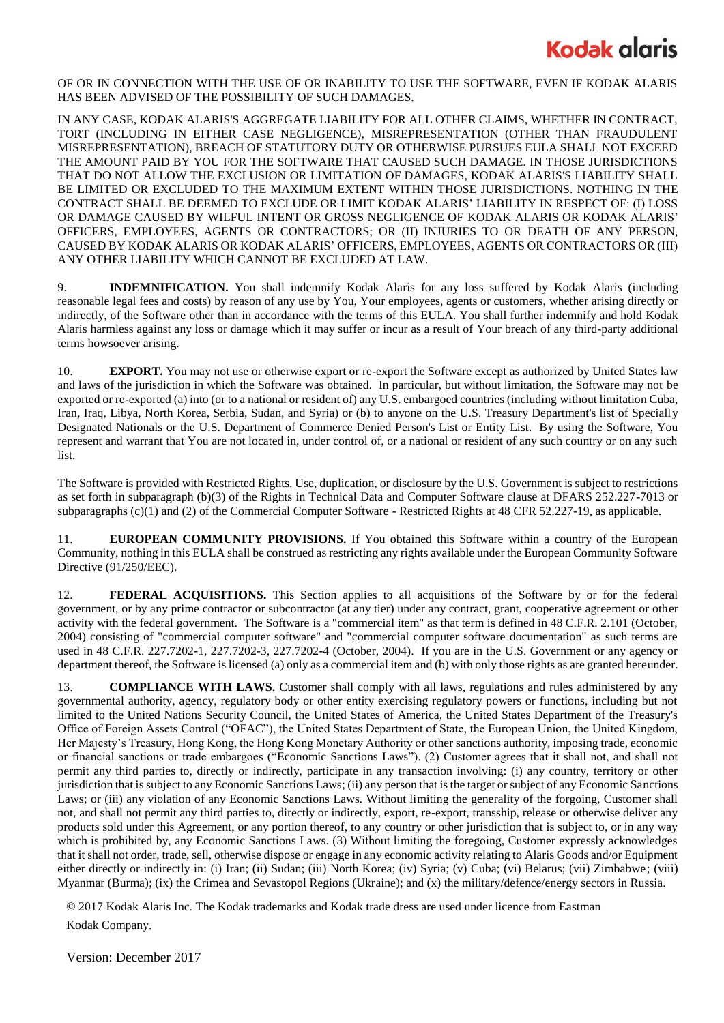### **Kodak glgris**

OF OR IN CONNECTION WITH THE USE OF OR INABILITY TO USE THE SOFTWARE, EVEN IF KODAK ALARIS HAS BEEN ADVISED OF THE POSSIBILITY OF SUCH DAMAGES.

IN ANY CASE, KODAK ALARIS'S AGGREGATE LIABILITY FOR ALL OTHER CLAIMS, WHETHER IN CONTRACT, TORT (INCLUDING IN EITHER CASE NEGLIGENCE), MISREPRESENTATION (OTHER THAN FRAUDULENT MISREPRESENTATION), BREACH OF STATUTORY DUTY OR OTHERWISE PURSUES EULA SHALL NOT EXCEED THE AMOUNT PAID BY YOU FOR THE SOFTWARE THAT CAUSED SUCH DAMAGE. IN THOSE JURISDICTIONS THAT DO NOT ALLOW THE EXCLUSION OR LIMITATION OF DAMAGES, KODAK ALARIS'S LIABILITY SHALL BE LIMITED OR EXCLUDED TO THE MAXIMUM EXTENT WITHIN THOSE JURISDICTIONS. NOTHING IN THE CONTRACT SHALL BE DEEMED TO EXCLUDE OR LIMIT KODAK ALARIS' LIABILITY IN RESPECT OF: (I) LOSS OR DAMAGE CAUSED BY WILFUL INTENT OR GROSS NEGLIGENCE OF KODAK ALARIS OR KODAK ALARIS' OFFICERS, EMPLOYEES, AGENTS OR CONTRACTORS; OR (II) INJURIES TO OR DEATH OF ANY PERSON, CAUSED BY KODAK ALARIS OR KODAK ALARIS' OFFICERS, EMPLOYEES, AGENTS OR CONTRACTORS OR (III) ANY OTHER LIABILITY WHICH CANNOT BE EXCLUDED AT LAW.

9. **INDEMNIFICATION.** You shall indemnify Kodak Alaris for any loss suffered by Kodak Alaris (including reasonable legal fees and costs) by reason of any use by You, Your employees, agents or customers, whether arising directly or indirectly, of the Software other than in accordance with the terms of this EULA. You shall further indemnify and hold Kodak Alaris harmless against any loss or damage which it may suffer or incur as a result of Your breach of any third-party additional terms howsoever arising.

10. **EXPORT.** You may not use or otherwise export or re-export the Software except as authorized by United States law and laws of the jurisdiction in which the Software was obtained. In particular, but without limitation, the Software may not be exported or re-exported (a) into (or to a national or resident of) any U.S. embargoed countries (including without limitation Cuba, Iran, Iraq, Libya, North Korea, Serbia, Sudan, and Syria) or (b) to anyone on the U.S. Treasury Department's list of Specially Designated Nationals or the U.S. Department of Commerce Denied Person's List or Entity List. By using the Software, You represent and warrant that You are not located in, under control of, or a national or resident of any such country or on any such list.

The Software is provided with Restricted Rights. Use, duplication, or disclosure by the U.S. Government is subject to restrictions as set forth in subparagraph (b)(3) of the Rights in Technical Data and Computer Software clause at DFARS 252.227-7013 or subparagraphs (c)(1) and (2) of the Commercial Computer Software - Restricted Rights at 48 CFR 52.227-19, as applicable.

11. **EUROPEAN COMMUNITY PROVISIONS.** If You obtained this Software within a country of the European Community, nothing in this EULA shall be construed as restricting any rights available under the European Community Software Directive (91/250/EEC).

12. **FEDERAL ACQUISITIONS.** This Section applies to all acquisitions of the Software by or for the federal government, or by any prime contractor or subcontractor (at any tier) under any contract, grant, cooperative agreement or other activity with the federal government. The Software is a "commercial item" as that term is defined in 48 C.F.R. 2.101 (October, 2004) consisting of "commercial computer software" and "commercial computer software documentation" as such terms are used in 48 C.F.R. 227.7202-1, 227.7202-3, 227.7202-4 (October, 2004). If you are in the U.S. Government or any agency or department thereof, the Software is licensed (a) only as a commercial item and (b) with only those rights as are granted hereunder.

13. **COMPLIANCE WITH LAWS.** Customer shall comply with all laws, regulations and rules administered by any governmental authority, agency, regulatory body or other entity exercising regulatory powers or functions, including but not limited to the United Nations Security Council, the United States of America, the United States Department of the Treasury's Office of Foreign Assets Control ("OFAC"), the United States Department of State, the European Union, the United Kingdom, Her Majesty's Treasury, Hong Kong, the Hong Kong Monetary Authority or other sanctions authority, imposing trade, economic or financial sanctions or trade embargoes ("Economic Sanctions Laws"). (2) Customer agrees that it shall not, and shall not permit any third parties to, directly or indirectly, participate in any transaction involving: (i) any country, territory or other jurisdiction that is subject to any Economic Sanctions Laws; (ii) any person that is the target or subject of any Economic Sanctions Laws; or (iii) any violation of any Economic Sanctions Laws. Without limiting the generality of the forgoing, Customer shall not, and shall not permit any third parties to, directly or indirectly, export, re-export, transship, release or otherwise deliver any products sold under this Agreement, or any portion thereof, to any country or other jurisdiction that is subject to, or in any way which is prohibited by, any Economic Sanctions Laws. (3) Without limiting the foregoing, Customer expressly acknowledges that it shall not order, trade, sell, otherwise dispose or engage in any economic activity relating to Alaris Goods and/or Equipment either directly or indirectly in: (i) Iran; (ii) Sudan; (iii) North Korea; (iv) Syria; (v) Cuba; (vi) Belarus; (vii) Zimbabwe; (viii) Myanmar (Burma); (ix) the Crimea and Sevastopol Regions (Ukraine); and (x) the military/defence/energy sectors in Russia.

© 2017 Kodak Alaris Inc. The Kodak trademarks and Kodak trade dress are used under licence from Eastman Kodak Company.

Version: December 2017